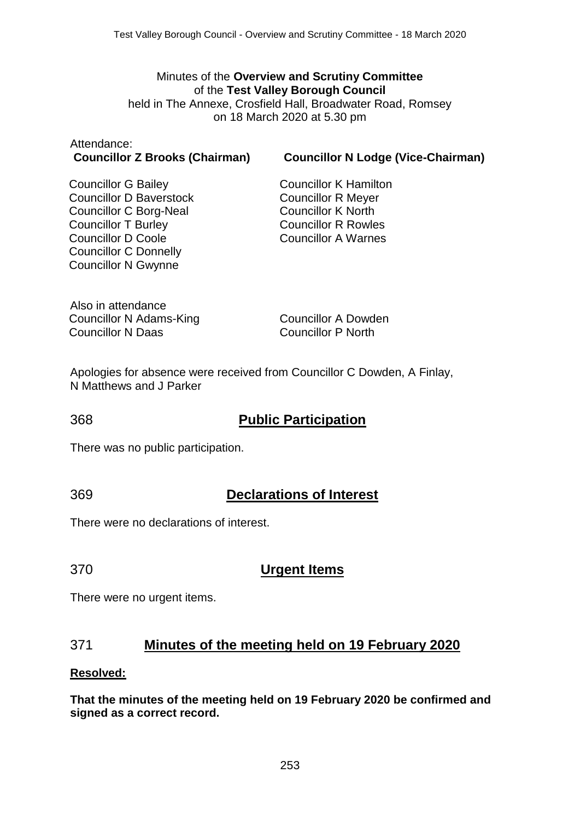#### Minutes of the **Overview and Scrutiny Committee** of the **Test Valley Borough Council** held in The Annexe, Crosfield Hall, Broadwater Road, Romsey on 18 March 2020 at 5.30 pm

# Attendance:

#### **Councillor Z Brooks (Chairman) Councillor N Lodge (Vice-Chairman)**

Councillor G Bailey Councillor D Baverstock Councillor C Borg-Neal Councillor T Burley Councillor D Coole Councillor C Donnelly Councillor N Gwynne

Councillor K Hamilton Councillor R Meyer Councillor K North Councillor R Rowles Councillor A Warnes

Also in attendance Councillor N Adams-King Councillor N Daas

Councillor A Dowden Councillor P North

Apologies for absence were received from Councillor C Dowden, A Finlay, N Matthews and J Parker

## 368 **Public Participation**

There was no public participation.

## 369 **Declarations of Interest**

There were no declarations of interest.

## 370 **Urgent Items**

There were no urgent items.

## 371 **Minutes of the meeting held on 19 February 2020**

#### **Resolved:**

**That the minutes of the meeting held on 19 February 2020 be confirmed and signed as a correct record.**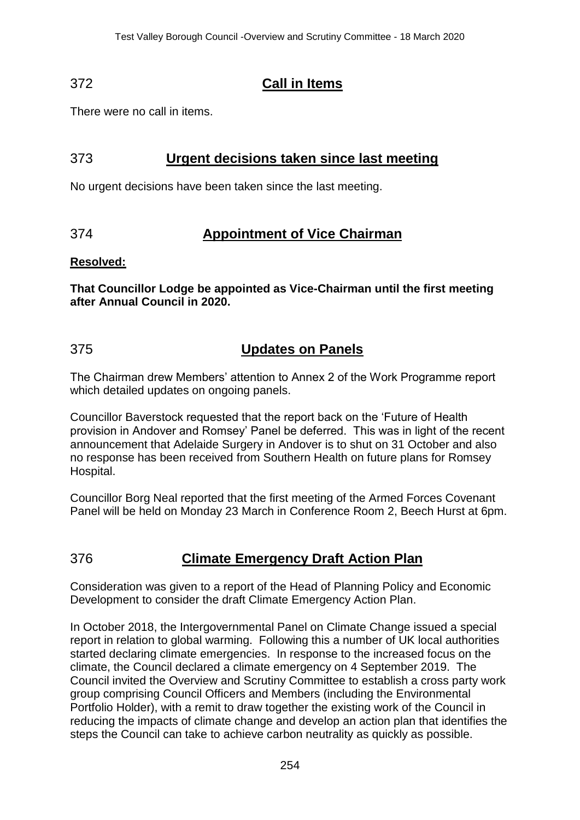## 372 **Call in Items**

There were no call in items.

## 373 **Urgent decisions taken since last meeting**

No urgent decisions have been taken since the last meeting.

## 374 **Appointment of Vice Chairman**

#### **Resolved:**

**That Councillor Lodge be appointed as Vice-Chairman until the first meeting after Annual Council in 2020.**

## 375 **Updates on Panels**

The Chairman drew Members' attention to Annex 2 of the Work Programme report which detailed updates on ongoing panels.

Councillor Baverstock requested that the report back on the 'Future of Health provision in Andover and Romsey' Panel be deferred. This was in light of the recent announcement that Adelaide Surgery in Andover is to shut on 31 October and also no response has been received from Southern Health on future plans for Romsey Hospital.

Councillor Borg Neal reported that the first meeting of the Armed Forces Covenant Panel will be held on Monday 23 March in Conference Room 2, Beech Hurst at 6pm.

## 376 **Climate Emergency Draft Action Plan**

Consideration was given to a report of the Head of Planning Policy and Economic Development to consider the draft Climate Emergency Action Plan.

In October 2018, the Intergovernmental Panel on Climate Change issued a special report in relation to global warming. Following this a number of UK local authorities started declaring climate emergencies. In response to the increased focus on the climate, the Council declared a climate emergency on 4 September 2019. The Council invited the Overview and Scrutiny Committee to establish a cross party work group comprising Council Officers and Members (including the Environmental Portfolio Holder), with a remit to draw together the existing work of the Council in reducing the impacts of climate change and develop an action plan that identifies the steps the Council can take to achieve carbon neutrality as quickly as possible.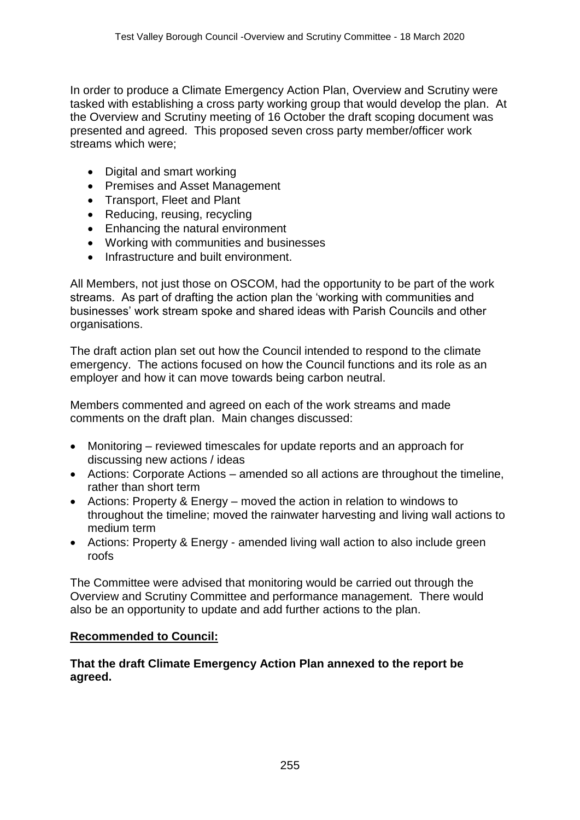In order to produce a Climate Emergency Action Plan, Overview and Scrutiny were tasked with establishing a cross party working group that would develop the plan. At the Overview and Scrutiny meeting of 16 October the draft scoping document was presented and agreed. This proposed seven cross party member/officer work streams which were;

- Digital and smart working
- Premises and Asset Management
- Transport, Fleet and Plant
- Reducing, reusing, recycling
- Enhancing the natural environment
- Working with communities and businesses
- Infrastructure and built environment.

All Members, not just those on OSCOM, had the opportunity to be part of the work streams. As part of drafting the action plan the 'working with communities and businesses' work stream spoke and shared ideas with Parish Councils and other organisations.

The draft action plan set out how the Council intended to respond to the climate emergency. The actions focused on how the Council functions and its role as an employer and how it can move towards being carbon neutral.

Members commented and agreed on each of the work streams and made comments on the draft plan. Main changes discussed:

- Monitoring reviewed timescales for update reports and an approach for discussing new actions / ideas
- Actions: Corporate Actions amended so all actions are throughout the timeline, rather than short term
- Actions: Property & Energy moved the action in relation to windows to throughout the timeline; moved the rainwater harvesting and living wall actions to medium term
- Actions: Property & Energy amended living wall action to also include green roofs

The Committee were advised that monitoring would be carried out through the Overview and Scrutiny Committee and performance management. There would also be an opportunity to update and add further actions to the plan.

#### **Recommended to Council:**

**That the draft Climate Emergency Action Plan annexed to the report be agreed.**